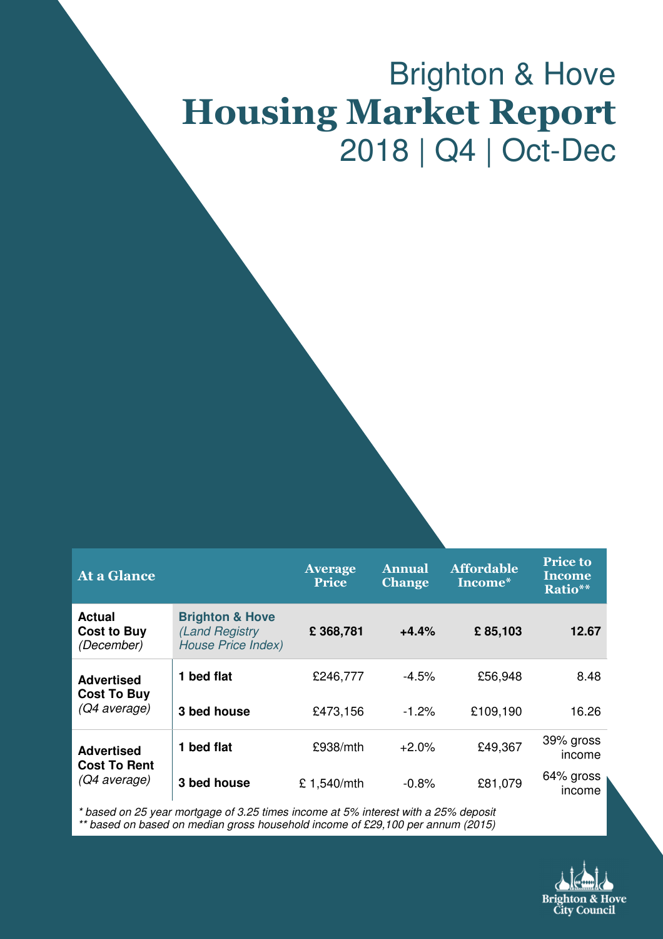# Brighton & Hove Housing Market Report 2018 | Q4 | Oct-Dec

| <b>At a Glance</b>                                       |                                                                           | <b>Average</b><br><b>Price</b> | <b>Annual</b><br><b>Change</b> | <b>Affordable</b><br>Income* | <b>Price to</b><br><b>Income</b><br>Ratio** |
|----------------------------------------------------------|---------------------------------------------------------------------------|--------------------------------|--------------------------------|------------------------------|---------------------------------------------|
| <b>Actual</b><br><b>Cost to Buy</b><br>(December)        | <b>Brighton &amp; Hove</b><br>(Land Registry<br><b>House Price Index)</b> | £368,781                       | $+4.4%$                        | £85,103                      | 12.67                                       |
| <b>Advertised</b><br><b>Cost To Buy</b><br>(Q4 average)  | 1 bed flat                                                                | £246,777                       | $-4.5%$                        | £56,948                      | 8.48                                        |
|                                                          | 3 bed house                                                               | £473,156                       | $-1.2%$                        | £109,190                     | 16.26                                       |
| <b>Advertised</b><br><b>Cost To Rent</b><br>(Q4 average) | 1 bed flat                                                                | £938/mL                        | $+2.0%$                        | £49,367                      | 39% gross<br>income                         |
|                                                          | 3 bed house                                                               | £1,540/mth                     | $-0.8%$                        | £81,079                      | 64% gross<br>income                         |

\* based on 25 year mortgage of 3.25 times income at 5% interest with a 25% deposit

\*\* based on based on median gross household income of £29,100 per annum (2015)

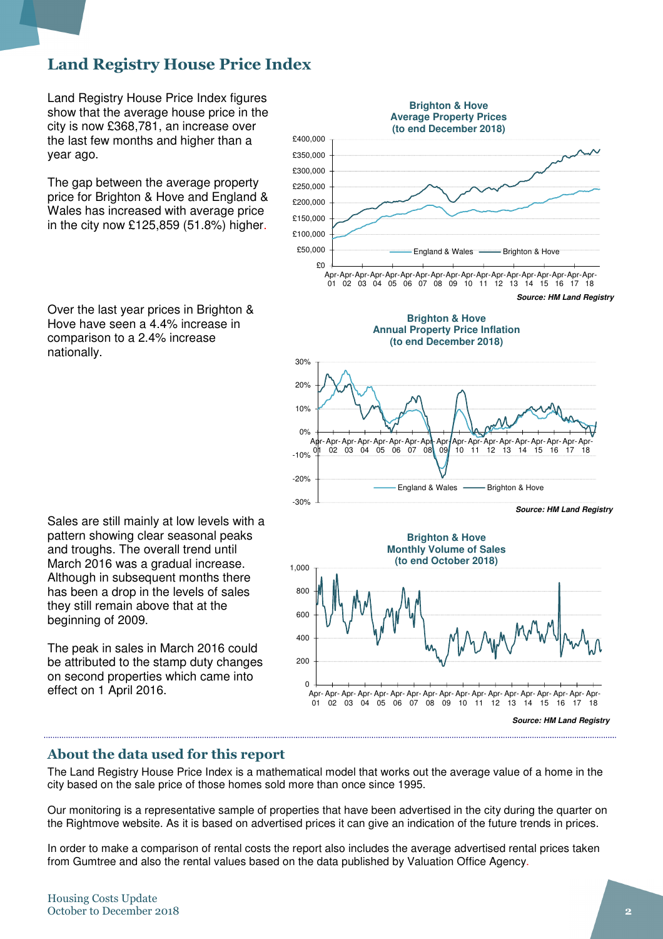# Land Registry House Price Index

Land Registry House Price Index figures show that the average house price in the city is now £368,781, an increase over the last few months and higher than a year ago.

The gap between the average property price for Brighton & Hove and England & Wales has increased with average price in the city now £125,859 (51.8%) higher.

Over the last year prices in Brighton & Hove have seen a 4.4% increase in comparison to a 2.4% increase nationally.

Sales are still mainly at low levels with a pattern showing clear seasonal peaks and troughs. The overall trend until March 2016 was a gradual increase. Although in subsequent months there has been a drop in the levels of sales they still remain above that at the beginning of 2009.

The peak in sales in March 2016 could be attributed to the stamp duty changes on second properties which came into effect on 1 April 2016.



**Source: HM Land Registry**

#### About the data used for this report

The Land Registry House Price Index is a mathematical model that works out the average value of a home in the city based on the sale price of those homes sold more than once since 1995.

Our monitoring is a representative sample of properties that have been advertised in the city during the quarter on the Rightmove website. As it is based on advertised prices it can give an indication of the future trends in prices.

In order to make a comparison of rental costs the report also includes the average advertised rental prices taken from Gumtree and also the rental values based on the data published by Valuation Office Agency.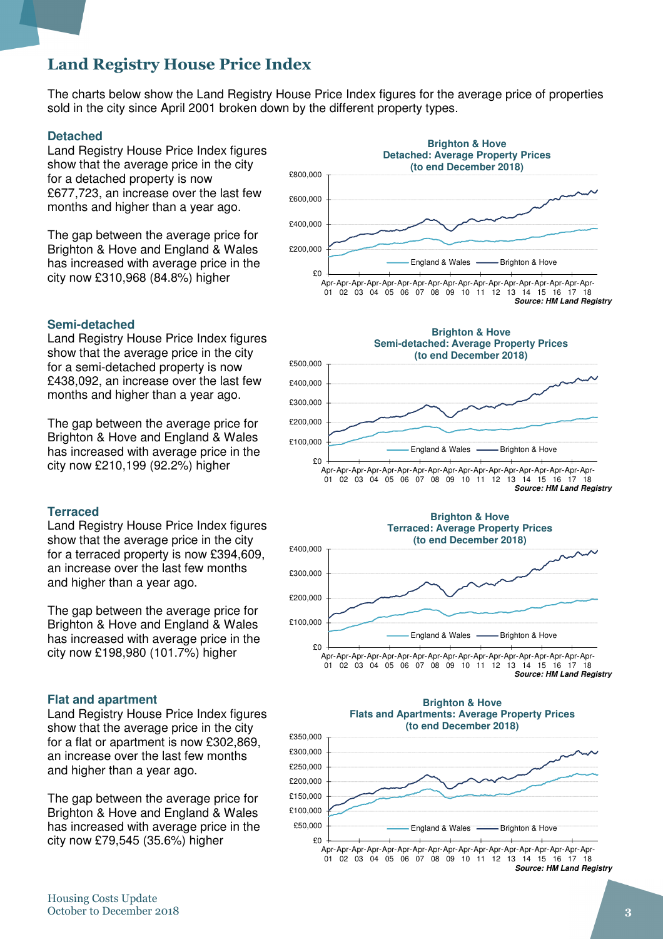# Land Registry House Price Index

The charts below show the Land Registry House Price Index figures for the average price of properties sold in the city since April 2001 broken down by the different property types.

#### **Detached**

Land Registry House Price Index figures show that the average price in the city for a detached property is now £677,723, an increase over the last few months and higher than a year ago.

The gap between the average price for Brighton & Hove and England & Wales has increased with average price in the city now £310,968 (84.8%) higher

#### £0 £200,000 £400,000 £600,000 £800,000 Apr-Apr-Apr-Apr-Apr-Apr-Apr-Apr-Apr-Apr-Apr-Apr-Apr-Apr-Apr-Apr-Apr-Apr-01 02 03 04 05 06 07 08 09 10 11 12 13 14 15 16 17 18 **Brighton & Hove Detached: Average Property Prices (to end December 2018)** England & Wales - Brighton & Hove **Source: HM Land Registry**

#### **Semi-detached**

Land Registry House Price Index figures show that the average price in the city for a semi-detached property is now £438,092, an increase over the last few months and higher than a year ago.

The gap between the average price for Brighton & Hove and England & Wales has increased with average price in the city now £210,199 (92.2%) higher

#### **Terraced**

Land Registry House Price Index figures show that the average price in the city for a terraced property is now £394,609, an increase over the last few months and higher than a year ago.

The gap between the average price for Brighton & Hove and England & Wales has increased with average price in the city now £198,980 (101.7%) higher

#### **Flat and apartment**

Land Registry House Price Index figures show that the average price in the city for a flat or apartment is now £302,869, an increase over the last few months and higher than a year ago.

The gap between the average price for Brighton & Hove and England & Wales has increased with average price in the city now £79,545 (35.6%) higher

£0 £100,000 £200,000 £300,000 £400,000 £500,000 Apr-Apr-Apr-Apr-Apr-Apr-Apr-Apr-Apr-Apr-Apr-Apr-Apr-Apr-Apr-Apr-Apr-Apr-01 02 03 04 05 06 07 08 09 10 11 12 13 14 15 16 17 18 **Brighton & Hove Semi-detached: Average Property Prices (to end December 2018)** England & Wales - Brighton & Hove **Source: HM Land Registry**





**Source: HM Land Registry**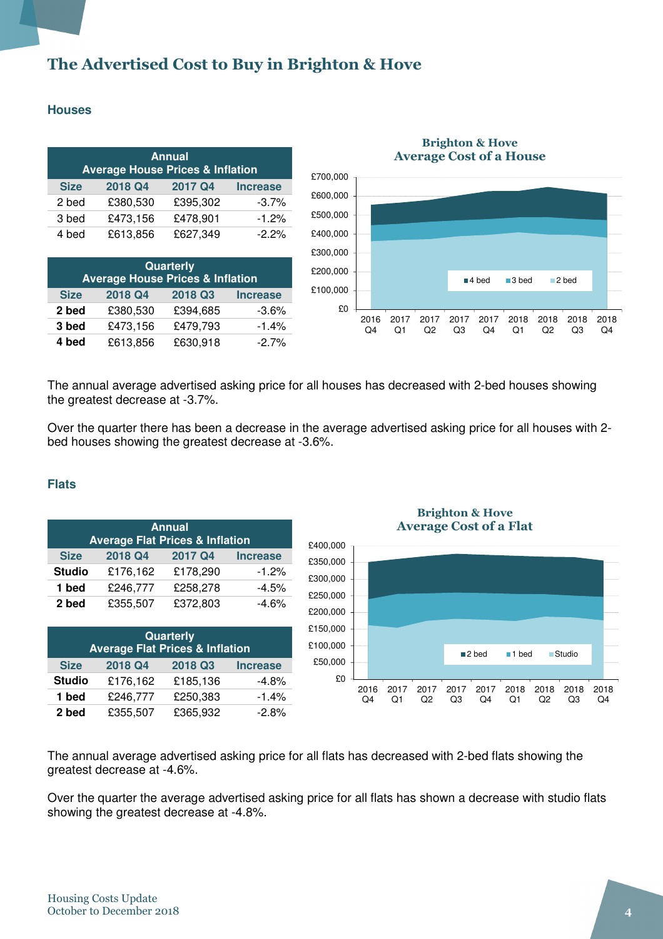# The Advertised Cost to Buy in Brighton & Hove

#### **Houses**

| <b>Annual</b><br><b>Average House Prices &amp; Inflation</b> |          |          |                 |  |
|--------------------------------------------------------------|----------|----------|-----------------|--|
| <b>Size</b>                                                  | 2018 Q4  | 2017 Q4  | <b>Increase</b> |  |
| 2 bed                                                        | £380,530 | £395,302 | $-3.7%$         |  |
| 3 bed                                                        | £473,156 | £478,901 | $-1.2%$         |  |
| 4 bed                                                        | £613,856 | £627,349 | $-2.2%$         |  |

| Quarterly<br><b>Average House Prices &amp; Inflation</b> |          |          |         |  |  |  |
|----------------------------------------------------------|----------|----------|---------|--|--|--|
| 2018 Q3<br>2018 Q4<br><b>Size</b><br><b>Increase</b>     |          |          |         |  |  |  |
| 2 bed                                                    | £380,530 | £394,685 | $-3.6%$ |  |  |  |
| 3 bed                                                    | £473,156 | £479,793 | $-1.4%$ |  |  |  |
| 4 bed                                                    | £613,856 | £630,918 | $-2.7%$ |  |  |  |



#### Brighton & Hove Average Cost of a House

The annual average advertised asking price for all houses has decreased with 2-bed houses showing the greatest decrease at -3.7%.

Over the quarter there has been a decrease in the average advertised asking price for all houses with 2 bed houses showing the greatest decrease at -3.6%.

#### **Flats**

| <b>Annual</b>                              |          |          |                 |  |  |
|--------------------------------------------|----------|----------|-----------------|--|--|
| <b>Average Flat Prices &amp; Inflation</b> |          |          |                 |  |  |
| <b>Size</b>                                | 2018 Q4  | 2017 Q4  | <b>Increase</b> |  |  |
| <b>Studio</b>                              | £176,162 | £178,290 | $-1.2%$         |  |  |
| 1 bed                                      | £246,777 | £258,278 | $-4.5%$         |  |  |
| 2 bed                                      | £355,507 | £372,803 | $-4.6%$         |  |  |

| Quarterly<br><b>Average Flat Prices &amp; Inflation</b> |          |          |                 |  |
|---------------------------------------------------------|----------|----------|-----------------|--|
| <b>Size</b>                                             | 2018 Q4  | 2018 Q3  | <b>Increase</b> |  |
| <b>Studio</b>                                           | £176,162 | £185,136 | $-4.8%$         |  |
| 1 bed                                                   | £246,777 | £250,383 | $-1.4%$         |  |
| 2 bed                                                   | £355,507 | £365,932 | $-2.8%$         |  |

Brighton & Hove Average Cost of a Flat



The annual average advertised asking price for all flats has decreased with 2-bed flats showing the greatest decrease at -4.6%.

Over the quarter the average advertised asking price for all flats has shown a decrease with studio flats showing the greatest decrease at -4.8%.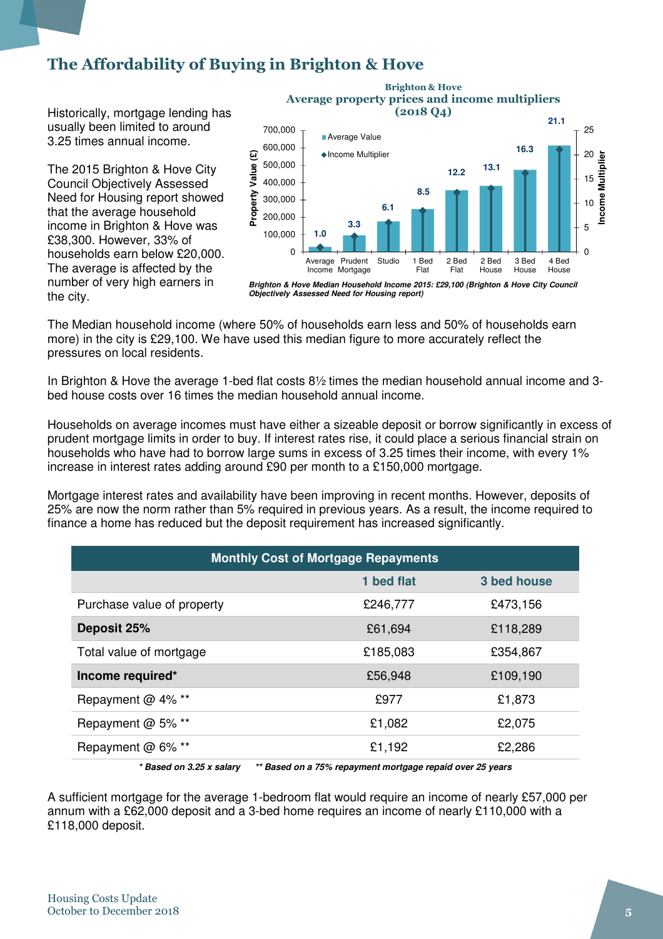# The Affordability of Buying in Brighton & Hove

Historically, mortgage lending has usually been limited to around 3.25 times annual income.

The 2015 Brighton & Hove City Council Objectively Assessed Need for Housing report showed that the average household income in Brighton & Hove was £38,300. However, 33% of households earn below £20,000. The average is affected by the number of very high earners in the city.



Brighton & Hove

**Brighton & Hove Median Household Income 2015: £29,100 (Brighton & Hove City Council Objectively Assessed Need for Housing report)**

The Median household income (where 50% of households earn less and 50% of households earn more) in the city is £29,100. We have used this median figure to more accurately reflect the pressures on local residents.

In Brighton & Hove the average 1-bed flat costs 8½ times the median household annual income and 3 bed house costs over 16 times the median household annual income.

Households on average incomes must have either a sizeable deposit or borrow significantly in excess of prudent mortgage limits in order to buy. If interest rates rise, it could place a serious financial strain on households who have had to borrow large sums in excess of 3.25 times their income, with every 1% increase in interest rates adding around £90 per month to a £150,000 mortgage.

Mortgage interest rates and availability have been improving in recent months. However, deposits of 25% are now the norm rather than 5% required in previous years. As a result, the income required to finance a home has reduced but the deposit requirement has increased significantly.

| <b>Monthly Cost of Mortgage Repayments</b>                                                  |            |             |  |  |
|---------------------------------------------------------------------------------------------|------------|-------------|--|--|
|                                                                                             | 1 bed flat | 3 bed house |  |  |
| Purchase value of property                                                                  | £246,777   | £473,156    |  |  |
| Deposit 25%                                                                                 | £61,694    | £118,289    |  |  |
| Total value of mortgage                                                                     | £185,083   | £354,867    |  |  |
| Income required*                                                                            | £56,948    | £109,190    |  |  |
| Repayment @ 4% **                                                                           | £977       | £1,873      |  |  |
| Repayment @ 5% **                                                                           | £1,082     | £2,075      |  |  |
| Repayment @ 6% **                                                                           | £1,192     | £2,286      |  |  |
| $*$ Donad an $2.25$ v caloru<br>** Peaced on a 75% renoumant marteness renaid over 25 years |            |             |  |  |

**\* Based on 3.25 x salary \*\* Based on a 75% repayment mortgage repaid over 25 years** 

A sufficient mortgage for the average 1-bedroom flat would require an income of nearly £57,000 per annum with a £62,000 deposit and a 3-bed home requires an income of nearly £110,000 with a £118,000 deposit.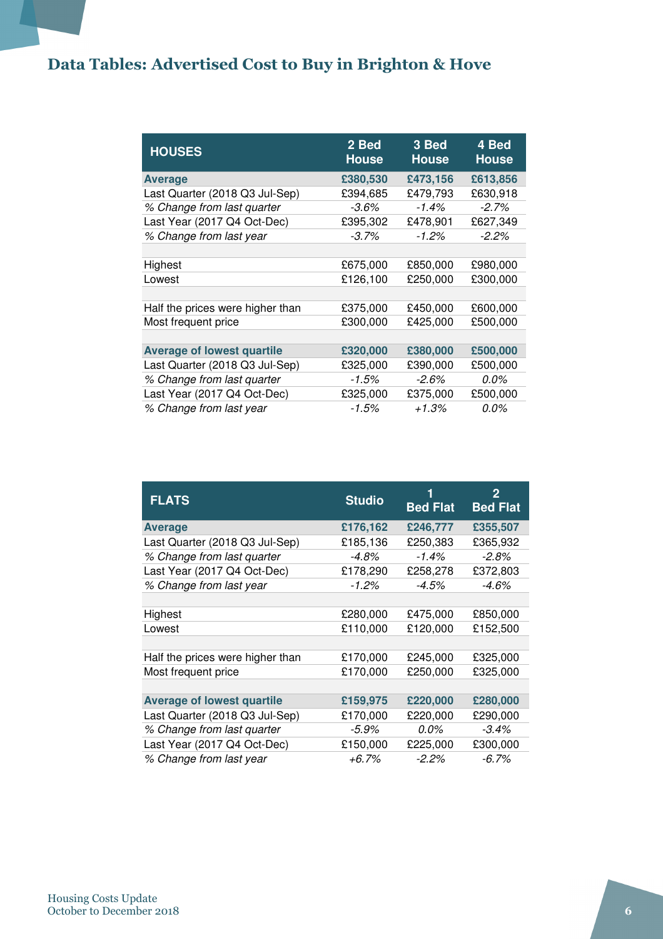# Data Tables: Advertised Cost to Buy in Brighton & Hove

| <b>HOUSES</b>                     | 2 Bed<br><b>House</b> | 3 Bed<br><b>House</b> | 4 Bed<br><b>House</b> |
|-----------------------------------|-----------------------|-----------------------|-----------------------|
| <b>Average</b>                    | £380,530              | £473,156              | £613,856              |
| Last Quarter (2018 Q3 Jul-Sep)    | £394,685              | £479,793              | £630,918              |
| % Change from last quarter        | -3.6%                 | $-1.4%$               | $-2.7\%$              |
| Last Year (2017 Q4 Oct-Dec)       | £395,302              | £478,901              | £627,349              |
| % Change from last year           | $-3.7\%$              | $-1.2%$               | $-2.2\%$              |
|                                   |                       |                       |                       |
| Highest                           | £675,000              | £850,000              | £980,000              |
| Lowest                            | £126,100              | £250,000              | £300,000              |
|                                   |                       |                       |                       |
| Half the prices were higher than  | £375,000              | £450,000              | £600,000              |
| Most frequent price               | £300,000              | £425,000              | £500,000              |
|                                   |                       |                       |                       |
| <b>Average of lowest quartile</b> | £320,000              | £380,000              | £500,000              |
| Last Quarter (2018 Q3 Jul-Sep)    | £325,000              | £390,000              | £500,000              |
| % Change from last quarter        | $-1.5\%$              | $-2.6\%$              | $0.0\%$               |
| Last Year (2017 Q4 Oct-Dec)       | £325,000              | £375,000              | £500,000              |
| % Change from last year           | $-1.5%$               | $+1.3%$               | $0.0\%$               |

| <b>FLATS</b>                      | <b>Studio</b> | <b>Bed Flat</b> | 2<br><b>Bed Flat</b> |
|-----------------------------------|---------------|-----------------|----------------------|
| <b>Average</b>                    | £176,162      | £246,777        | £355,507             |
| Last Quarter (2018 Q3 Jul-Sep)    | £185,136      | £250,383        | £365,932             |
| % Change from last quarter        | $-4.8%$       | $-1.4%$         | $-2.8%$              |
| Last Year (2017 Q4 Oct-Dec)       | £178,290      | £258,278        | £372,803             |
| % Change from last year           | $-1.2\%$      | $-4.5%$         | $-4.6%$              |
|                                   |               |                 |                      |
| Highest                           | £280,000      | £475,000        | £850,000             |
| Lowest                            | £110,000      | £120,000        | £152,500             |
|                                   |               |                 |                      |
| Half the prices were higher than  | £170,000      | £245,000        | £325,000             |
| Most frequent price               | £170,000      | £250,000        | £325,000             |
|                                   |               |                 |                      |
| <b>Average of lowest quartile</b> | £159,975      | £220,000        | £280,000             |
| Last Quarter (2018 Q3 Jul-Sep)    | £170,000      | £220,000        | £290,000             |
| % Change from last quarter        | $-5.9%$       | $0.0\%$         | $-3.4\%$             |
| Last Year (2017 Q4 Oct-Dec)       | £150,000      | £225,000        | £300,000             |
| % Change from last year           | +6.7%         | $-2.2\%$        | $-6.7\%$             |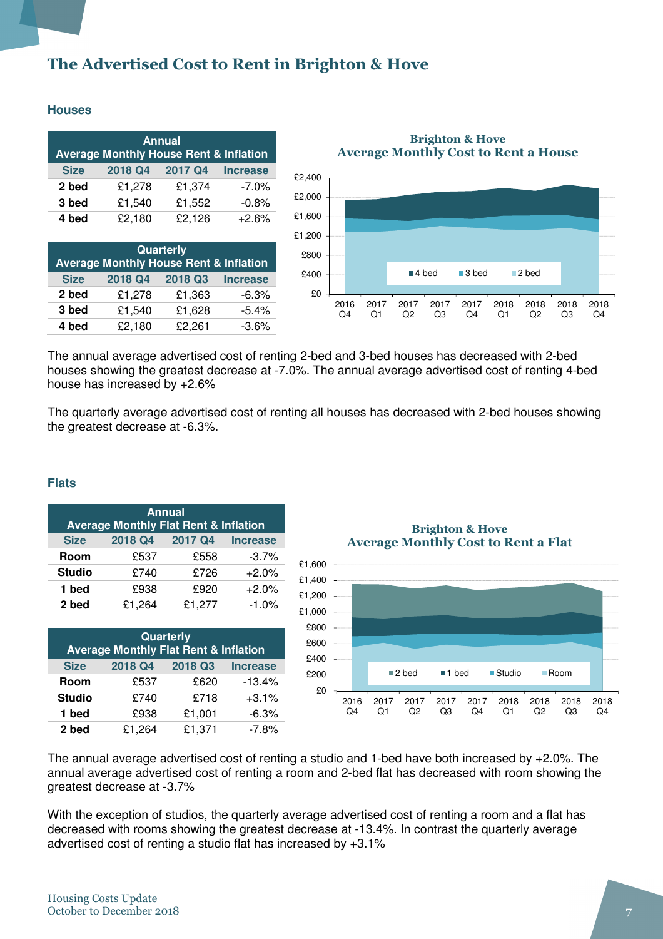# The Advertised Cost to Rent in Brighton & Hove

#### **Houses**

| <b>Annual</b><br><b>Average Monthly House Rent &amp; Inflation</b> |         |         |                 |  |  |
|--------------------------------------------------------------------|---------|---------|-----------------|--|--|
| <b>Size</b>                                                        | 2018 Q4 | 2017 Q4 | <b>Increase</b> |  |  |
| 2 bed                                                              | £1,278  | £1,374  | $-7.0\%$        |  |  |
| 3 bed                                                              | £1,540  | £1,552  | $-0.8%$         |  |  |
| 4 bed                                                              | £2,180  | £2,126  | $+2.6%$         |  |  |

| <b>Quarterly</b><br><b>Average Monthly House Rent &amp; Inflation</b> |         |         |                 |  |  |
|-----------------------------------------------------------------------|---------|---------|-----------------|--|--|
| <b>Size</b>                                                           | 2018 Q4 | 2018 Q3 | <b>Increase</b> |  |  |
| 2 bed                                                                 | £1,278  | £1,363  | $-6.3%$         |  |  |
| 3 bed                                                                 | £1,540  | £1,628  | $-5.4%$         |  |  |
| 4 bed                                                                 | £2,180  | £2,261  | $-3.6%$         |  |  |

Brighton & Hove Average Monthly Cost to Rent a House



The annual average advertised cost of renting 2-bed and 3-bed houses has decreased with 2-bed houses showing the greatest decrease at -7.0%. The annual average advertised cost of renting 4-bed house has increased by +2.6%

The quarterly average advertised cost of renting all houses has decreased with 2-bed houses showing the greatest decrease at -6.3%.

#### **Flats**

| <b>Annual</b><br><b>Average Monthly Flat Rent &amp; Inflation</b> |         |         |                 |  |  |
|-------------------------------------------------------------------|---------|---------|-----------------|--|--|
| <b>Size</b>                                                       | 2018 Q4 | 2017 Q4 | <b>Increase</b> |  |  |
| Room                                                              | £537    | £558    | $-3.7%$         |  |  |
| <b>Studio</b>                                                     | £740    | £726    | $+2.0%$         |  |  |
| 1 bed                                                             | £938    | £920    | $+2.0%$         |  |  |
| 2 bed                                                             | £1,264  | £1,277  | $-1.0%$         |  |  |

| Quarterly<br><b>Average Monthly Flat Rent &amp; Inflation</b> |         |         |                 |  |  |
|---------------------------------------------------------------|---------|---------|-----------------|--|--|
| <b>Size</b>                                                   | 2018 Q4 | 2018 Q3 | <b>Increase</b> |  |  |
| Room                                                          | £537    | £620    | $-13.4%$        |  |  |
| <b>Studio</b>                                                 | £740    | £718    | $+3.1%$         |  |  |
| 1 bed                                                         | £938    | £1,001  | $-6.3%$         |  |  |
| 2 bed                                                         | £1,264  | £1,371  | $-7.8%$         |  |  |

Brighton & Hove Average Monthly Cost to Rent a Flat



The annual average advertised cost of renting a studio and 1-bed have both increased by +2.0%. The annual average advertised cost of renting a room and 2-bed flat has decreased with room showing the greatest decrease at -3.7%

With the exception of studios, the quarterly average advertised cost of renting a room and a flat has decreased with rooms showing the greatest decrease at -13.4%. In contrast the quarterly average advertised cost of renting a studio flat has increased by +3.1%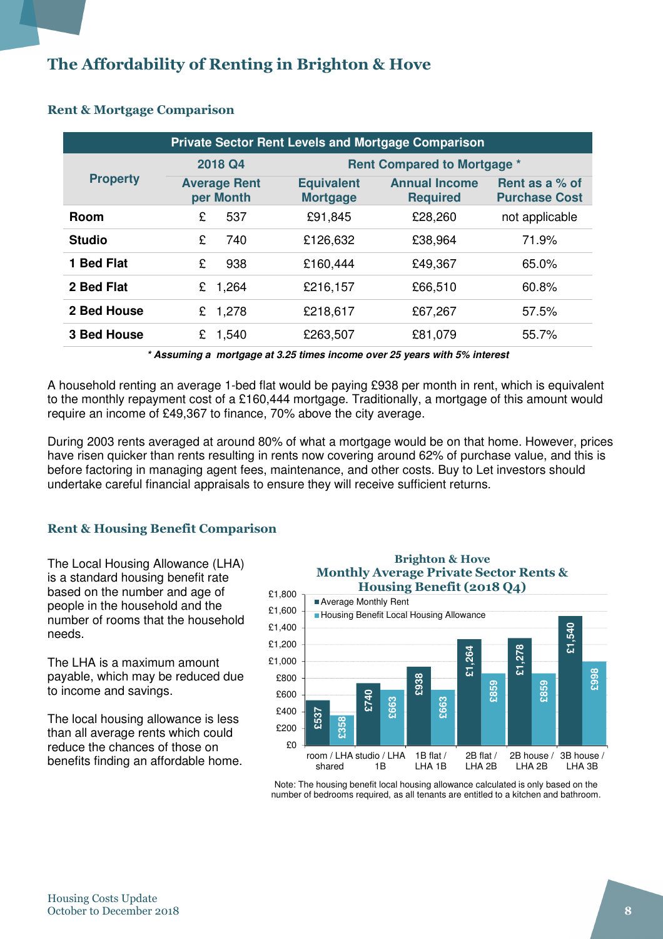# The Affordability of Renting in Brighton & Hove

| <b>Private Sector Rent Levels and Mortgage Comparison</b> |                                  |                                      |                                         |                                        |  |
|-----------------------------------------------------------|----------------------------------|--------------------------------------|-----------------------------------------|----------------------------------------|--|
|                                                           | 2018 Q4                          |                                      | <b>Rent Compared to Mortgage *</b>      |                                        |  |
| <b>Property</b>                                           | <b>Average Rent</b><br>per Month | <b>Equivalent</b><br><b>Mortgage</b> | <b>Annual Income</b><br><b>Required</b> | Rent as a % of<br><b>Purchase Cost</b> |  |
| <b>Room</b>                                               | 537<br>£                         | £91,845                              | £28,260                                 | not applicable                         |  |
| <b>Studio</b>                                             | £<br>740                         | £126,632                             | £38,964                                 | 71.9%                                  |  |
| 1 Bed Flat                                                | £<br>938                         | £160,444                             | £49,367                                 | 65.0%                                  |  |
| 2 Bed Flat                                                | 1,264<br>£                       | £216,157                             | £66,510                                 | 60.8%                                  |  |
| 2 Bed House                                               | 1,278<br>£                       | £218,617                             | £67,267                                 | 57.5%                                  |  |
| <b>3 Bed House</b>                                        | 1,540<br>£                       | £263,507                             | £81,079                                 | 55.7%                                  |  |

#### Rent & Mortgage Comparison

**\* Assuming a mortgage at 3.25 times income over 25 years with 5% interest** 

A household renting an average 1-bed flat would be paying £938 per month in rent, which is equivalent to the monthly repayment cost of a £160,444 mortgage. Traditionally, a mortgage of this amount would require an income of £49,367 to finance, 70% above the city average.

During 2003 rents averaged at around 80% of what a mortgage would be on that home. However, prices have risen quicker than rents resulting in rents now covering around 62% of purchase value, and this is before factoring in managing agent fees, maintenance, and other costs. Buy to Let investors should undertake careful financial appraisals to ensure they will receive sufficient returns.

#### Rent & Housing Benefit Comparison

The Local Housing Allowance (LHA) is a standard housing benefit rate based on the number and age of people in the household and the number of rooms that the household needs.

The LHA is a maximum amount payable, which may be reduced due to income and savings.

The local housing allowance is less than all average rents which could reduce the chances of those on benefits finding an affordable home.

#### Brighton & Hove Monthly Average Private Sector Rents & Housing Benefit (2018 Q4)



Note: The housing benefit local housing allowance calculated is only based on the number of bedrooms required, as all tenants are entitled to a kitchen and bathroom.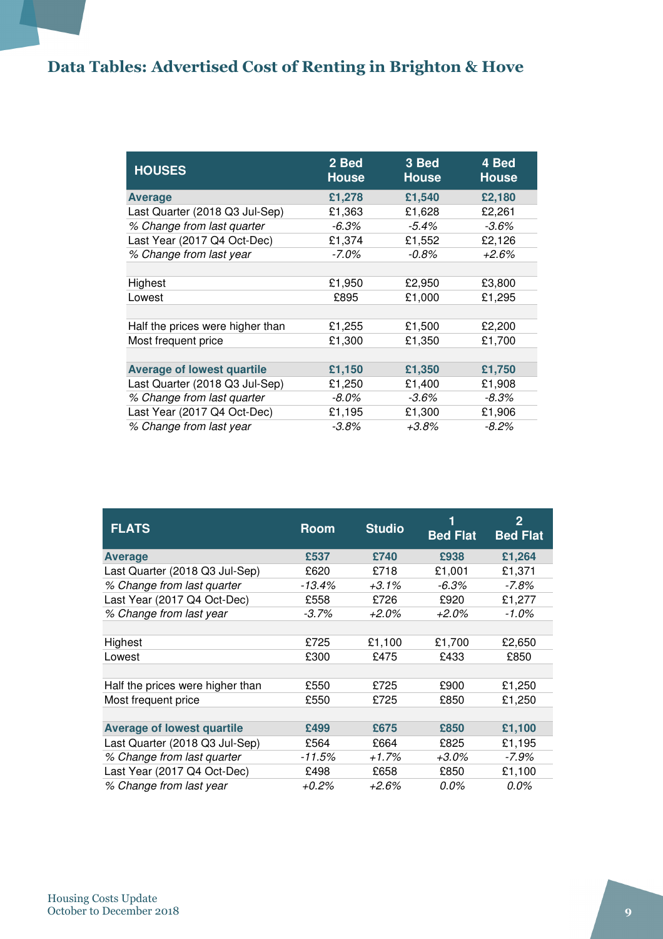# Data Tables: Advertised Cost of Renting in Brighton & Hove

| <b>HOUSES</b>                     | 2 Bed<br><b>House</b> | 3 Bed<br><b>House</b> | 4 Bed<br><b>House</b> |
|-----------------------------------|-----------------------|-----------------------|-----------------------|
| <b>Average</b>                    | £1,278                | £1,540                | £2,180                |
| Last Quarter (2018 Q3 Jul-Sep)    | £1,363                | £1,628                | £2,261                |
| % Change from last quarter        | $-6.3%$               | $-5.4\%$              | $-3.6\%$              |
| Last Year (2017 Q4 Oct-Dec)       | £1,374                | £1,552                | £2,126                |
| % Change from last year           | $-7.0\%$              | $-0.8\%$              | +2.6%                 |
|                                   |                       |                       |                       |
| Highest                           | £1,950                | £2,950                | £3,800                |
| Lowest                            | £895                  | £1,000                | £1,295                |
|                                   |                       |                       |                       |
| Half the prices were higher than  | £1,255                | £1,500                | £2,200                |
| Most frequent price               | £1,300                | £1,350                | £1,700                |
|                                   |                       |                       |                       |
| <b>Average of lowest quartile</b> | £1,150                | £1,350                | £1,750                |
| Last Quarter (2018 Q3 Jul-Sep)    | £1,250                | £1,400                | £1,908                |
| % Change from last quarter        | $-8.0\%$              | $-3.6%$               | $-8.3%$               |
| Last Year (2017 Q4 Oct-Dec)       | £1,195                | £1,300                | £1,906                |
| % Change from last year           | $-3.8\%$              | $+3.8%$               | $-8.2\%$              |

| <b>FLATS</b>                      | <b>Room</b> | <b>Studio</b> | ī۱<br><b>Bed Flat</b> | 2<br><b>Bed Flat</b> |
|-----------------------------------|-------------|---------------|-----------------------|----------------------|
| <b>Average</b>                    | £537        | £740          | £938                  | £1,264               |
| Last Quarter (2018 Q3 Jul-Sep)    | £620        | £718          | £1,001                | £1,371               |
| % Change from last quarter        | -13.4%      | $+3.1\%$      | $-6.3\%$              | -7.8%                |
| Last Year (2017 Q4 Oct-Dec)       | £558        | £726          | £920                  | £1,277               |
| % Change from last year           | $-3.7\%$    | +2.0%         | $+2.0\%$              | $-1.0\%$             |
|                                   |             |               |                       |                      |
| Highest                           | £725        | £1,100        | £1,700                | £2,650               |
| Lowest                            | £300        | £475          | £433                  | £850                 |
|                                   |             |               |                       |                      |
| Half the prices were higher than  | £550        | £725          | £900                  | £1,250               |
| Most frequent price               | £550        | £725          | £850                  | £1,250               |
|                                   |             |               |                       |                      |
| <b>Average of lowest quartile</b> | £499        | £675          | £850                  | £1,100               |
| Last Quarter (2018 Q3 Jul-Sep)    | £564        | £664          | £825                  | £1,195               |
| % Change from last quarter        | -11.5%      | +1.7%         | $+3.0\%$              | -7.9%                |
| Last Year (2017 Q4 Oct-Dec)       | £498        | £658          | £850                  | £1,100               |
| % Change from last year           | $+0.2%$     | $+2.6%$       | 0.0%                  | $0.0\%$              |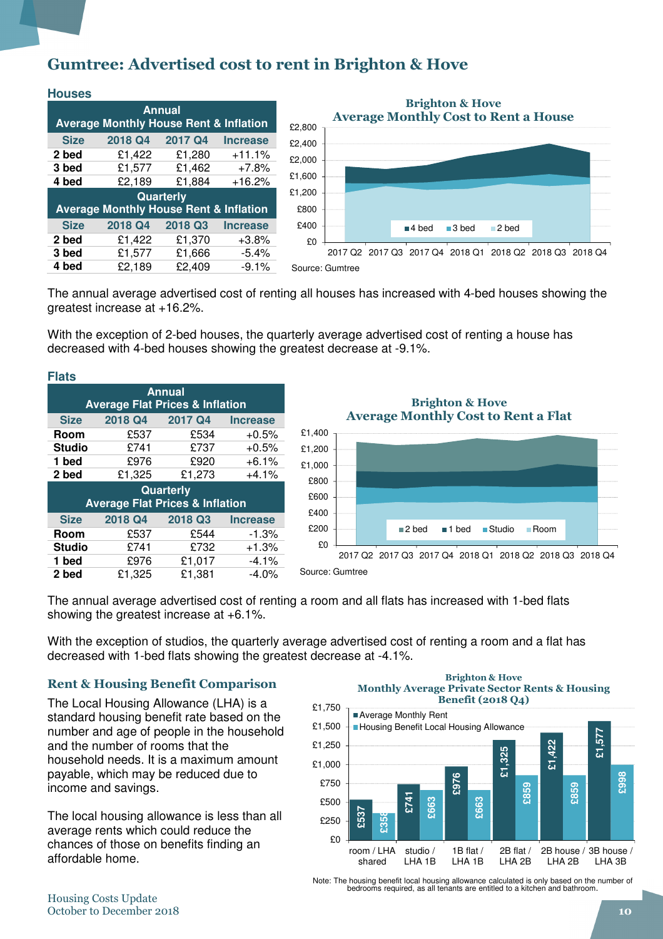### Gumtree: Advertised cost to rent in Brighton & Hove

| <b>Houses</b>                                                      |                                                   |                  |                 |  |  |  |
|--------------------------------------------------------------------|---------------------------------------------------|------------------|-----------------|--|--|--|
| <b>Annual</b><br><b>Average Monthly House Rent &amp; Inflation</b> |                                                   |                  |                 |  |  |  |
|                                                                    |                                                   |                  |                 |  |  |  |
| <b>Size</b>                                                        | 2018 Q4                                           | 2017 Q4          | <b>Increase</b> |  |  |  |
| 2 bed                                                              | £1,422                                            | £1,280           | $+11.1%$        |  |  |  |
| 3 bed                                                              | £1,577                                            | £1,462           | $+7.8%$         |  |  |  |
| 4 bed                                                              | £2,189                                            | £1,884           | $+16.2%$        |  |  |  |
|                                                                    |                                                   | <b>Quarterly</b> |                 |  |  |  |
|                                                                    | <b>Average Monthly House Rent &amp; Inflation</b> |                  |                 |  |  |  |
| <b>Size</b>                                                        | 2018 Q4                                           | 2018 Q3          | <b>Increase</b> |  |  |  |
| 2 bed                                                              | £1,422                                            | £1,370           | $+3.8%$         |  |  |  |
| 3 bed                                                              | £1,577                                            | £1,666           | $-5.4%$         |  |  |  |
| 4 bed                                                              | £2.189                                            | £2.409           | $-9.1%$         |  |  |  |



Source: Gumtree

The annual average advertised cost of renting all houses has increased with 4-bed houses showing the greatest increase at +16.2%.

With the exception of 2-bed houses, the quarterly average advertised cost of renting a house has decreased with 4-bed houses showing the greatest decrease at -9.1%.

| <b>Flats</b>                                                   |         |         |                 |  |  |  |
|----------------------------------------------------------------|---------|---------|-----------------|--|--|--|
| <b>Annual</b><br><b>Average Flat Prices &amp; Inflation</b>    |         |         |                 |  |  |  |
| <b>Size</b>                                                    | 2018 Q4 | 2017 Q4 | <b>Increase</b> |  |  |  |
| Room                                                           | £537    | £534    | $+0.5%$         |  |  |  |
| <b>Studio</b>                                                  | £741    | £737    | $+0.5%$         |  |  |  |
| 1 bed                                                          | £976    | £920    | $+6.1%$         |  |  |  |
| 2 bed                                                          | £1,325  | £1,273  | $+4.1%$         |  |  |  |
| <b>Quarterly</b><br><b>Average Flat Prices &amp; Inflation</b> |         |         |                 |  |  |  |
| <b>Size</b>                                                    | 2018 Q4 | 2018 Q3 | <b>Increase</b> |  |  |  |
| Room                                                           | £537    | £544    | $-1.3%$         |  |  |  |
| <b>Studio</b>                                                  | £741    | £732    | $+1.3%$         |  |  |  |
| 1 bed                                                          | £976    | £1,017  | $-4.1%$         |  |  |  |
| 2 bed                                                          | £1,325  | £1,381  | $-4.0\%$        |  |  |  |

 $$0$ £200 £400 £600 £800 £1,000 £1,200 £1,400 2017 Q2 2017 Q3 2017 Q4 2018 Q1 2018 Q2 2018 Q3 2018 Q4 Brighton & Hove Average Monthly Cost to Rent a Flat ■2 bed ■1 bed ■Studio ■ Room

The annual average advertised cost of renting a room and all flats has increased with 1-bed flats showing the greatest increase at +6.1%.

Source: Gumtree

With the exception of studios, the quarterly average advertised cost of renting a room and a flat has decreased with 1-bed flats showing the greatest decrease at -4.1%.

#### Rent & Housing Benefit Comparison

The Local Housing Allowance (LHA) is a standard housing benefit rate based on the number and age of people in the household and the number of rooms that the household needs. It is a maximum amount payable, which may be reduced due to income and savings.

The local housing allowance is less than all average rents which could reduce the chances of those on benefits finding an affordable home.

#### Brighton & Hove Monthly Average Private Sector Rents & Housing Benefit (2018 Q4)



Note: The housing benefit local housing allowance calculated is only based on the number of bedrooms required, as all tenants are entitled to a kitchen and bathroom.

#### Housing Costs Update October to December 2018 10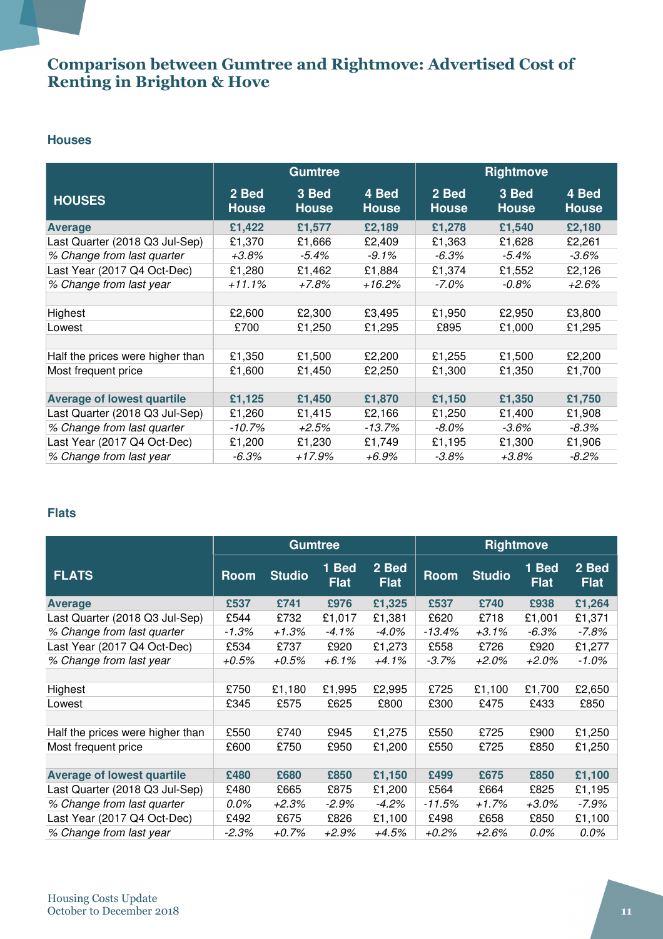### Comparison between Gumtree and Rightmove: Advertised Cost of Renting in Brighton & Hove

#### **Houses**

|                                   | <b>Gumtree</b>        |                       |                       |                       | <b>Rightmove</b>      |                       |
|-----------------------------------|-----------------------|-----------------------|-----------------------|-----------------------|-----------------------|-----------------------|
| <b>HOUSES</b>                     | 2 Bed<br><b>House</b> | 3 Bed<br><b>House</b> | 4 Bed<br><b>House</b> | 2 Bed<br><b>House</b> | 3 Bed<br><b>House</b> | 4 Bed<br><b>House</b> |
| <b>Average</b>                    | £1,422                | £1,577                | £2,189                | £1,278                | £1,540                | £2,180                |
| Last Quarter (2018 Q3 Jul-Sep)    | £1,370                | £1,666                | £2,409                | £1,363                | £1,628                | £2,261                |
| % Change from last quarter        | $+3.8%$               | $-5.4\%$              | $-9.1%$               | $-6.3%$               | $-5.4\%$              | $-3.6\%$              |
| Last Year (2017 Q4 Oct-Dec)       | £1,280                | £1,462                | £1,884                | £1,374                | £1,552                | £2,126                |
| % Change from last year           | $+11.1%$              | +7.8%                 | +16.2%                | -7.0%                 | $-0.8\%$              | $+2.6%$               |
|                                   |                       |                       |                       |                       |                       |                       |
| Highest                           | £2,600                | £2,300                | £3,495                | £1,950                | £2,950                | £3,800                |
| Lowest                            | £700                  | £1,250                | £1,295                | £895                  | £1,000                | £1,295                |
|                                   |                       |                       |                       |                       |                       |                       |
| Half the prices were higher than  | £1,350                | £1,500                | £2,200                | £1,255                | £1,500                | £2,200                |
| Most frequent price               | £1,600                | £1,450                | £2,250                | £1,300                | £1,350                | £1,700                |
|                                   |                       |                       |                       |                       |                       |                       |
| <b>Average of lowest quartile</b> | £1,125                | £1,450                | £1,870                | £1,150                | £1,350                | £1,750                |
| Last Quarter (2018 Q3 Jul-Sep)    | £1,260                | £1,415                | £2,166                | £1,250                | £1,400                | £1,908                |
| % Change from last quarter        | $-10.7%$              | $+2.5%$               | $-13.7%$              | $-8.0\%$              | $-3.6\%$              | $-8.3\%$              |
| Last Year (2017 Q4 Oct-Dec)       | £1,200                | £1,230                | £1,749                | £1,195                | £1,300                | £1,906                |
| % Change from last year           | $-6.3\%$              | $+17.9%$              | +6.9%                 | $-3.8\%$              | $+3.8\%$              | $-8.2\%$              |

#### **Flats**

|                                   | <b>Gumtree</b> |               |                      | <b>Rightmove</b>     |             |               |                        |                      |
|-----------------------------------|----------------|---------------|----------------------|----------------------|-------------|---------------|------------------------|----------------------|
| <b>FLATS</b>                      | <b>Room</b>    | <b>Studio</b> | 1 Bed<br><b>Flat</b> | 2 Bed<br><b>Flat</b> | <b>Room</b> | <b>Studio</b> | $1$ Bed<br><b>Flat</b> | 2 Bed<br><b>Flat</b> |
| <b>Average</b>                    | £537           | £741          | £976                 | £1,325               | £537        | £740          | £938                   | £1,264               |
| Last Quarter (2018 Q3 Jul-Sep)    | £544           | £732          | £1,017               | £1,381               | £620        | £718          | £1,001                 | £1,371               |
| % Change from last quarter        | $-1.3%$        | +1.3%         | -4.1%                | -4.0%                | -13.4%      | $+3.1\%$      | $-6.3\%$               | -7.8%                |
| Last Year (2017 Q4 Oct-Dec)       | £534           | £737          | £920                 | £1,273               | £558        | £726          | £920                   | £1,277               |
| % Change from last year           | $+0.5%$        | +0.5%         | +6.1%                | +4.1%                | $-3.7\%$    | $+2.0\%$      | +2.0%                  | $-1.0\%$             |
|                                   |                |               |                      |                      |             |               |                        |                      |
| Highest                           | £750           | £1,180        | £1,995               | £2,995               | £725        | £1,100        | £1,700                 | £2,650               |
| Lowest                            | £345           | £575          | £625                 | £800                 | £300        | £475          | £433                   | £850                 |
|                                   |                |               |                      |                      |             |               |                        |                      |
| Half the prices were higher than  | £550           | £740          | £945                 | £1,275               | £550        | £725          | £900                   | £1,250               |
| Most frequent price               | £600           | £750          | £950                 | £1,200               | £550        | £725          | £850                   | £1,250               |
|                                   |                |               |                      |                      |             |               |                        |                      |
| <b>Average of lowest quartile</b> | £480           | £680          | £850                 | £1,150               | £499        | £675          | £850                   | £1,100               |
| Last Quarter (2018 Q3 Jul-Sep)    | £480           | £665          | £875                 | £1,200               | £564        | £664          | £825                   | £1,195               |
| % Change from last quarter        | 0.0%           | +2.3%         | $-2.9\%$             | $-4.2\%$             | $-11.5%$    | $+1.7%$       | $+3.0\%$               | -7.9%                |
| Last Year (2017 Q4 Oct-Dec)       | £492           | £675          | £826                 | £1,100               | £498        | £658          | £850                   | £1,100               |
| % Change from last year           | $-2.3\%$       | +0.7%         | +2.9%                | +4.5%                | +0.2%       | +2.6%         | 0.0%                   | 0.0%                 |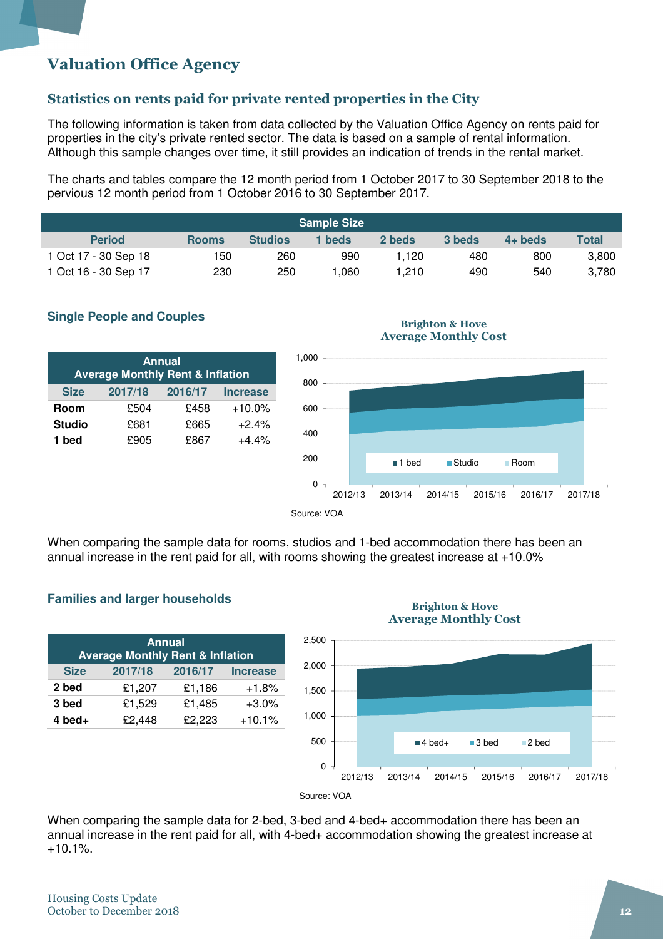# Valuation Office Agency

#### Statistics on rents paid for private rented properties in the City

The following information is taken from data collected by the Valuation Office Agency on rents paid for properties in the city's private rented sector. The data is based on a sample of rental information. Although this sample changes over time, it still provides an indication of trends in the rental market.

The charts and tables compare the 12 month period from 1 October 2017 to 30 September 2018 to the pervious 12 month period from 1 October 2016 to 30 September 2017.

| <b>Sample Size</b>   |              |                |        |        |        |           |       |
|----------------------|--------------|----------------|--------|--------|--------|-----------|-------|
| <b>Period</b>        | <b>Rooms</b> | <b>Studios</b> | 1 beds | 2 beds | 3 beds | $4+$ beds | Total |
| 1 Oct 17 - 30 Sep 18 | 150          | 260            | 990    | 1.120  | 480    | 800       | 3,800 |
| 1 Oct 16 - 30 Sep 17 | 230          | 250            | .060   | 1.210  | 490    | 540       | 3.780 |



| <b>Annual</b><br><b>Average Monthly Rent &amp; Inflation</b> |         |         |                 |  |  |  |
|--------------------------------------------------------------|---------|---------|-----------------|--|--|--|
| <b>Size</b>                                                  | 2017/18 | 2016/17 | <b>Increase</b> |  |  |  |
| Room                                                         | £504    | £458    | $+10.0\%$       |  |  |  |
| <b>Studio</b>                                                | £681    | £665    | $+2.4%$         |  |  |  |
| 1 bed                                                        | £905    | £867    | $+4.4%$         |  |  |  |



Brighton & Hove Average Monthly Cost

When comparing the sample data for rooms, studios and 1-bed accommodation there has been an annual increase in the rent paid for all, with rooms showing the greatest increase at +10.0%

#### **Families and larger households**

| <b>Annual</b><br><b>Average Monthly Rent &amp; Inflation</b> |         |         |                 |  |  |  |
|--------------------------------------------------------------|---------|---------|-----------------|--|--|--|
| <b>Size</b>                                                  | 2017/18 | 2016/17 | <b>Increase</b> |  |  |  |
| 2 bed                                                        | £1,207  | £1,186  | $+1.8%$         |  |  |  |
| 3 bed                                                        | £1,529  | £1,485  | $+3.0%$         |  |  |  |
| $4$ bed+                                                     | £2,448  | £2,223  | $+10.1%$        |  |  |  |

#### Brighton & Hove Average Monthly Cost



When comparing the sample data for 2-bed, 3-bed and 4-bed+ accommodation there has been an annual increase in the rent paid for all, with 4-bed+ accommodation showing the greatest increase at  $+10.1%$ .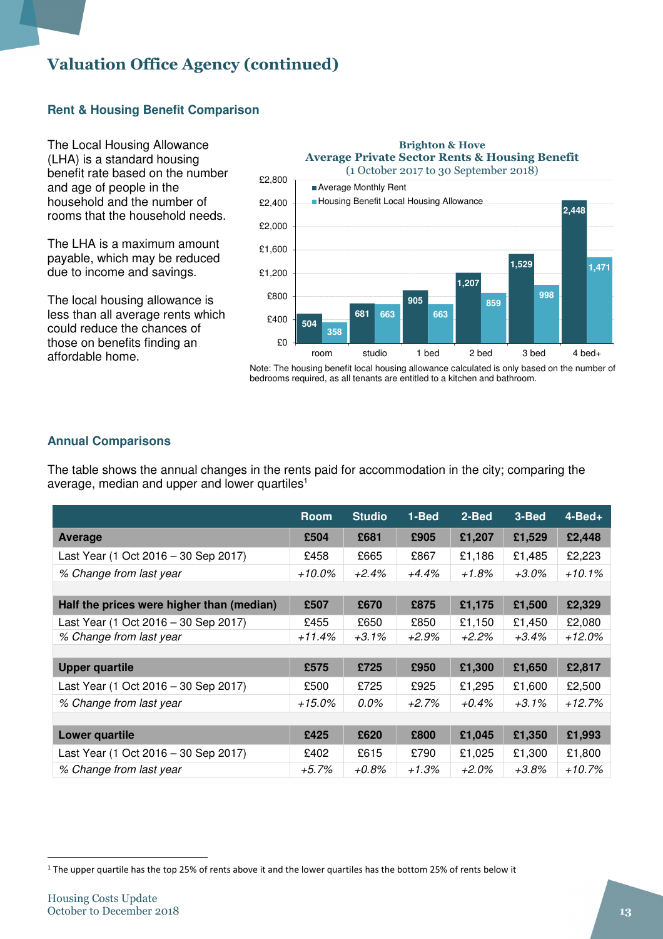# Valuation Office Agency (continued)

#### **Rent & Housing Benefit Comparison**

The Local Housing Allowance (LHA) is a standard housing benefit rate based on the number and age of people in the household and the number of rooms that the household needs.

The LHA is a maximum amount payable, which may be reduced due to income and savings.

The local housing allowance is less than all average rents which could reduce the chances of those on benefits finding an affordable home.



Note: The housing benefit local housing allowance calculated is only based on the number of bedrooms required, as all tenants are entitled to a kitchen and bathroom.

#### **Annual Comparisons**

The table shows the annual changes in the rents paid for accommodation in the city; comparing the average, median and upper and lower quartiles<sup>1</sup>

|                                           | <b>Room</b> | <b>Studio</b> | 1-Bed    | 2-Bed    | 3-Bed    | $4 - Bed +$ |
|-------------------------------------------|-------------|---------------|----------|----------|----------|-------------|
| Average                                   | £504        | £681          | £905     | £1,207   | £1,529   | £2,448      |
| Last Year (1 Oct 2016 - 30 Sep 2017)      | £458        | £665          | £867     | £1,186   | £1,485   | £2,223      |
| % Change from last year                   | $+10.0\%$   | $+2.4%$       | $+4.4\%$ | +1.8%    | $+3.0\%$ | $+10.1%$    |
|                                           |             |               |          |          |          |             |
| Half the prices were higher than (median) | £507        | £670          | £875     | £1,175   | £1,500   | £2,329      |
| Last Year (1 Oct 2016 – 30 Sep 2017)      | £455        | £650          | £850     | £1,150   | £1,450   | £2,080      |
| % Change from last year                   | +11.4%      | $+3.1\%$      | +2.9%    | $+2.2%$  | $+3.4\%$ | +12.0%      |
|                                           |             |               |          |          |          |             |
| <b>Upper quartile</b>                     | £575        | £725          | £950     | £1,300   | £1,650   | £2,817      |
| Last Year (1 Oct 2016 - 30 Sep 2017)      | £500        | £725          | £925     | £1,295   | £1,600   | £2,500      |
| % Change from last year                   | $+15.0\%$   | $0.0\%$       | $+2.7%$  | $+0.4\%$ | $+3.1\%$ | $+12.7%$    |
|                                           |             |               |          |          |          |             |
| Lower quartile                            | £425        | £620          | £800     | £1,045   | £1,350   | £1,993      |
| Last Year (1 Oct 2016 - 30 Sep 2017)      | £402        | £615          | £790     | £1,025   | £1,300   | £1,800      |
| % Change from last year                   | $+5.7\%$    | $+0.8%$       | +1.3%    | $+2.0\%$ | +3.8%    | +10.7%      |

 $\overline{\phantom{a}}$ 

<sup>&</sup>lt;sup>1</sup> The upper quartile has the top 25% of rents above it and the lower quartiles has the bottom 25% of rents below it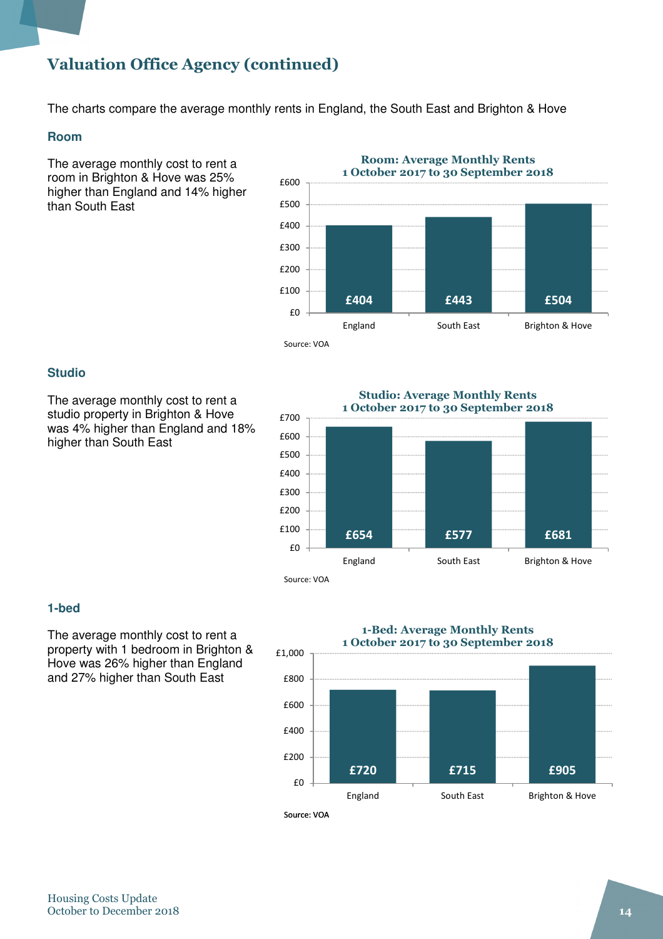# Valuation Office Agency (continued)

The charts compare the average monthly rents in England, the South East and Brighton & Hove

#### **Room**

The average monthly cost to rent a room in Brighton & Hove was 25% higher than England and 14% higher than South East



#### **Studio**

The average monthly cost to rent a studio property in Brighton & Hove was 4% higher than England and 18% higher than South East

£654 £577 £681 £0 £100 £200 £300 £400 £500 £600 £700 England South East Brighton & Hove Studio: Average Monthly Rents 1 October 2017 to 30 September 2018

#### Source: VOA

#### **1-bed**

The average monthly cost to rent a property with 1 bedroom in Brighton & Hove was 26% higher than England and 27% higher than South East

1-Bed: Average Monthly Rents



Housing Costs Update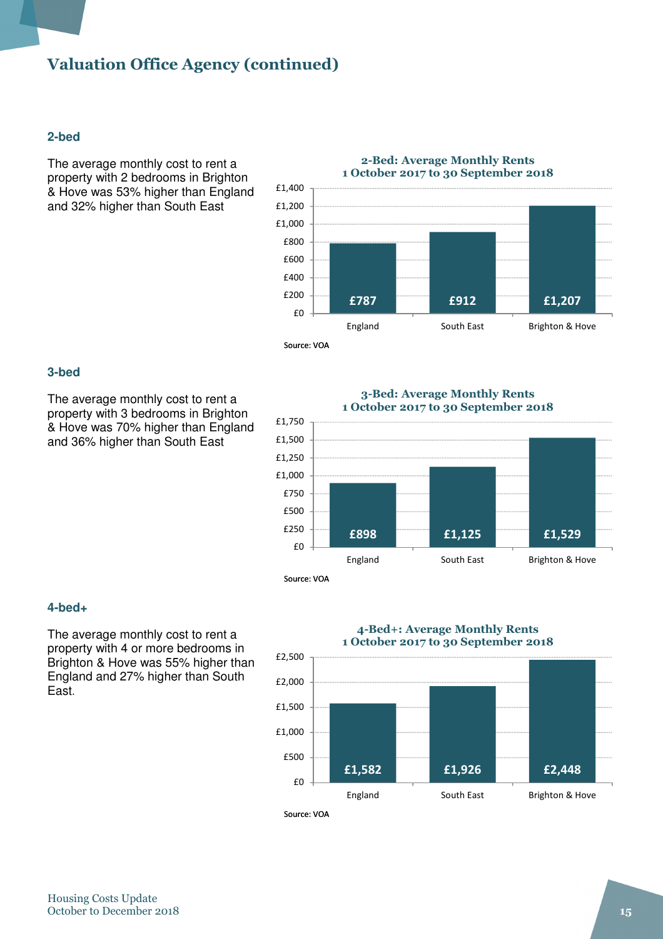# Valuation Office Agency (continued)

#### **2-bed**

The average monthly cost to rent a property with 2 bedrooms in Brighton & Hove was 53% higher than England and 32% higher than South East



#### **3-bed**

The average monthly cost to rent a property with 3 bedrooms in Brighton & Hove was 70% higher than England and 36% higher than South East





#### **4-bed+**

The average monthly cost to rent a property with 4 or more bedrooms in Brighton & Hove was 55% higher than England and 27% higher than South East.

# 4-Bed+: Average Monthly Rents

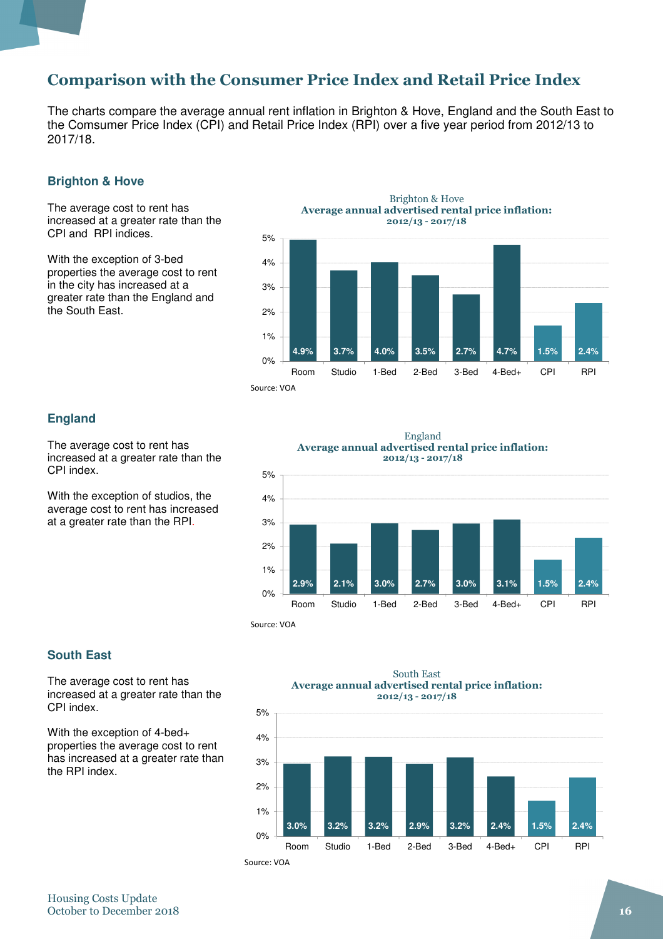## Comparison with the Consumer Price Index and Retail Price Index

The charts compare the average annual rent inflation in Brighton & Hove, England and the South East to the Comsumer Price Index (CPI) and Retail Price Index (RPI) over a five year period from 2012/13 to 2017/18.

#### **Brighton & Hove**

The average cost to rent has increased at a greater rate than the CPI and RPI indices.

With the exception of 3-bed properties the average cost to rent in the city has increased at a greater rate than the England and the South East.



#### **England**

The average cost to rent has increased at a greater rate than the CPI index.

With the exception of studios, the average cost to rent has increased at a greater rate than the RPI.



Source: VOA

#### **South East**

The average cost to rent has increased at a greater rate than the CPI index.

With the exception of 4-bed+ properties the average cost to rent has increased at a greater rate than the RPI index.

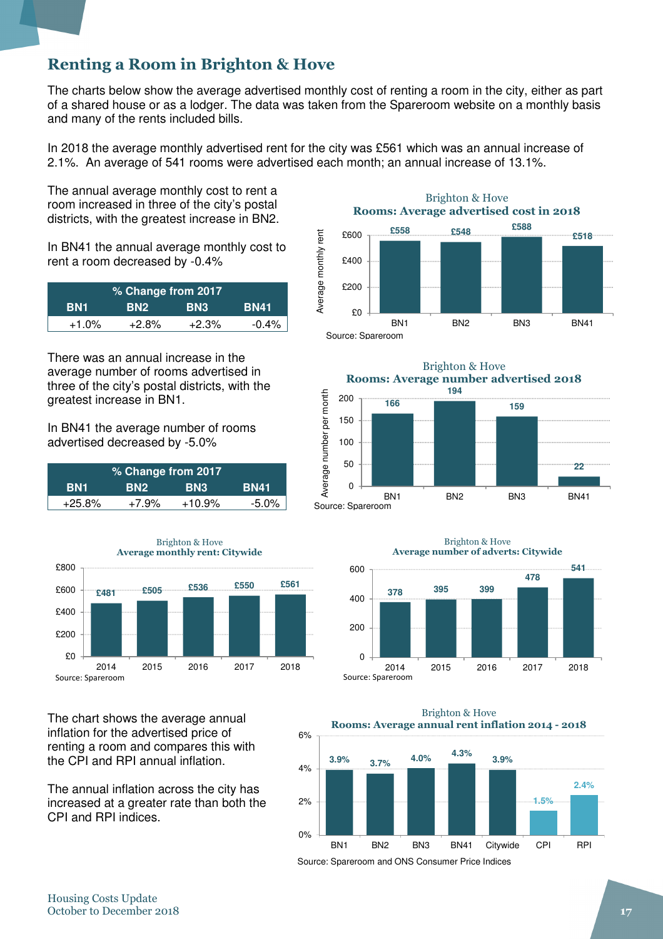# Renting a Room in Brighton & Hove

The charts below show the average advertised monthly cost of renting a room in the city, either as part of a shared house or as a lodger. The data was taken from the Spareroom website on a monthly basis and many of the rents included bills.

In 2018 the average monthly advertised rent for the city was £561 which was an annual increase of 2.1%. An average of 541 rooms were advertised each month; an annual increase of 13.1%.

The annual average monthly cost to rent a room increased in three of the city's postal districts, with the greatest increase in BN2.

In BN41 the annual average monthly cost to rent a room decreased by -0.4%

| % Change from 2017 |            |            |             |  |  |  |
|--------------------|------------|------------|-------------|--|--|--|
| <b>BN1</b>         | <b>BN2</b> | <b>BN3</b> | <b>BN41</b> |  |  |  |
| $+1.0%$            | $+2.8%$    | $+2.3%$    | $-0.4\%$    |  |  |  |

There was an annual increase in the average number of rooms advertised in three of the city's postal districts, with the greatest increase in BN1.

In BN41 the average number of rooms advertised decreased by -5.0%

| <b>% Change from 2017</b> |                 |                 |         |
|---------------------------|-----------------|-----------------|---------|
| BN1                       | BN <sub>2</sub> | BN <sub>3</sub> | 'BN41.  |
| $+25.8\%$                 | $+7.9%$         | $+10.9%$        | $-5.0%$ |



The chart shows the average annual inflation for the advertised price of renting a room and compares this with the CPI and RPI annual inflation.

The annual inflation across the city has increased at a greater rate than both the CPI and RPI indices.

Brighton & Hove Rooms: Average advertised cost in 2018 **£558 £548 £588** Average monthly rent £600 Average monthly rent **£518** £400 £200 £0 BN1 BN2 BN3 BN41

Source: Spareroom

Brighton & Hove Rooms: Average number advertised 2018 **194** Average number per month Average number per month 200 **166 159** 150 100 50 **22**  $\Omega$ BN1 BN2 BN3 BN41 Source: Spareroom







Source: Spareroom and ONS Consumer Price Indices

6%